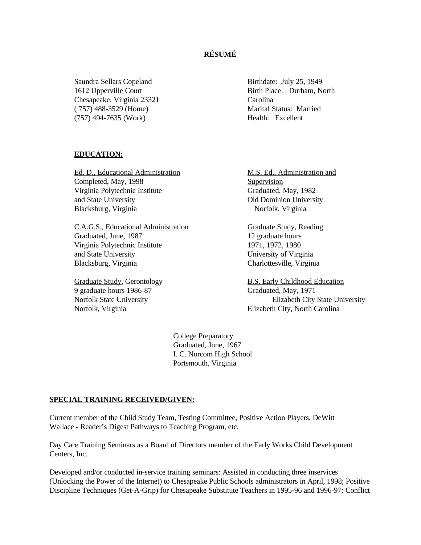## **RÉSUMÉ**

Saundra Sellars Copeland Birthdate: July 25, 1949 Chesapeake, Virginia 23321 Carolina ( 757) 488-3529 (Home) Marital Status: Married (757) 494-7635 (Work) Health: Excellent

1612 Upperville Court Birth Place: Durham, North

#### **EDUCATION:**

Ed. D., Educational Administration M.S. Ed., Administration and Completed, May, 1998 Supervision Virginia Polytechnic Institute Graduated, May, 1982 and State University Old Dominion University Blacksburg, Virginia Norfolk, Virginia

C.A.G.S., Educational Administration Graduate Study, Reading Graduated, June, 1987 12 graduate hours Virginia Polytechnic Institute 1971, 1972, 1980 and State University University of Virginia Blacksburg, Virginia Charlottesville, Virginia

9 graduate hours 1986-87 Graduated, May, 1971

Graduate Study, Gerontology B.S. Early Childhood Education Norfolk State University Elizabeth City State University Norfolk, Virginia Elizabeth City, North Carolina

> College Preparatory Graduated, June, 1967 I. C. Norcom High School Portsmouth, Virginia

#### **SPECIAL TRAINING RECEIVED/GIVEN:**

Current member of the Child Study Team, Testing Committee, Positive Action Players, DeWitt Wallace - Reader's Digest Pathways to Teaching Program, etc.

Day Care Training Seminars as a Board of Directors member of the Early Works Child Development Centers, Inc.

Developed and/or conducted in-service training seminars: Assisted in conducting three inservices (Unlocking the Power of the Internet) to Chesapeake Public Schools administrators in April, 1998; Positive Discipline Techniques (Get-A-Grip) for Chesapeake Substitute Teachers in 1995-96 and 1996-97; Conflict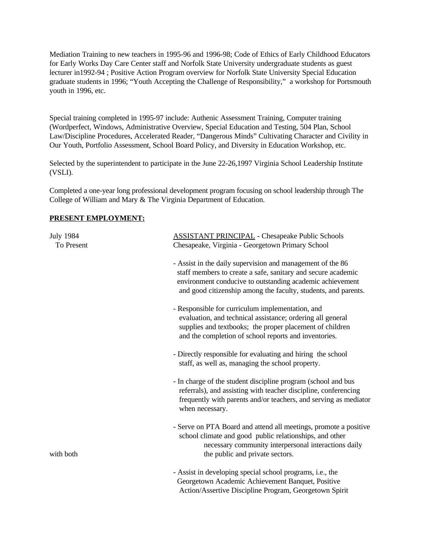Mediation Training to new teachers in 1995-96 and 1996-98; Code of Ethics of Early Childhood Educators for Early Works Day Care Center staff and Norfolk State University undergraduate students as guest lecturer in1992-94 ; Positive Action Program overview for Norfolk State University Special Education graduate students in 1996; "Youth Accepting the Challenge of Responsibility," a workshop for Portsmouth youth in 1996, etc.

Special training completed in 1995-97 include: Authenic Assessment Training, Computer training (Wordperfect, Windows, Administrative Overview, Special Education and Testing, 504 Plan, School Law/Discipline Procedures, Accelerated Reader, "Dangerous Minds" Cultivating Character and Civility in Our Youth, Portfolio Assessment, School Board Policy, and Diversity in Education Workshop, etc.

Selected by the superintendent to participate in the June 22-26,1997 Virginia School Leadership Institute (VSLI).

Completed a one-year long professional development program focusing on school leadership through The College of William and Mary & The Virginia Department of Education.

### **PRESENT EMPLOYMENT:**

| <b>July 1984</b><br>To Present | <b>ASSISTANT PRINCIPAL</b> - Chesapeake Public Schools<br>Chesapeake, Virginia - Georgetown Primary School                                                                                                                                                |
|--------------------------------|-----------------------------------------------------------------------------------------------------------------------------------------------------------------------------------------------------------------------------------------------------------|
|                                | - Assist in the daily supervision and management of the 86<br>staff members to create a safe, sanitary and secure academic<br>environment conducive to outstanding academic achievement<br>and good citizenship among the faculty, students, and parents. |
|                                | - Responsible for curriculum implementation, and<br>evaluation, and technical assistance; ordering all general<br>supplies and textbooks; the proper placement of children<br>and the completion of school reports and inventories.                       |
|                                | - Directly responsible for evaluating and hiring the school<br>staff, as well as, managing the school property.                                                                                                                                           |
|                                | - In charge of the student discipline program (school and bus<br>referrals), and assisting with teacher discipline, conferencing<br>frequently with parents and/or teachers, and serving as mediator<br>when necessary.                                   |
| with both                      | - Serve on PTA Board and attend all meetings, promote a positive<br>school climate and good public relationships, and other<br>necessary community interpersonal interactions daily<br>the public and private sectors.                                    |
|                                | - Assist in developing special school programs, i.e., the<br>Georgetown Academic Achievement Banquet, Positive<br>Action/Assertive Discipline Program, Georgetown Spirit                                                                                  |